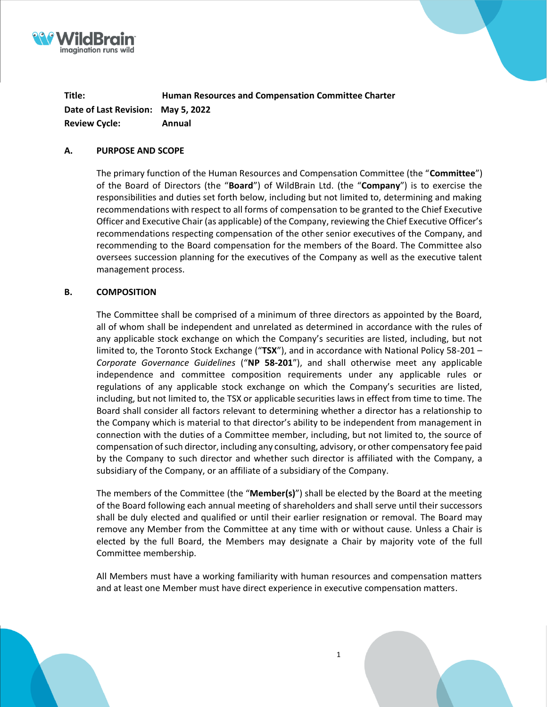

**Title: Human Resources and Compensation Committee Charter Date of Last Revision: May 5, 2022 Review Cycle: Annual**

#### **A. PURPOSE AND SCOPE**

The primary function of the Human Resources and Compensation Committee (the "**Committee**") of the Board of Directors (the "**Board**") of WildBrain Ltd. (the "**Company**") is to exercise the responsibilities and duties set forth below, including but not limited to, determining and making recommendations with respect to all forms of compensation to be granted to the Chief Executive Officer and Executive Chair (as applicable) of the Company, reviewing the Chief Executive Officer's recommendations respecting compensation of the other senior executives of the Company, and recommending to the Board compensation for the members of the Board. The Committee also oversees succession planning for the executives of the Company as well as the executive talent management process.

#### **B. COMPOSITION**

The Committee shall be comprised of a minimum of three directors as appointed by the Board, all of whom shall be independent and unrelated as determined in accordance with the rules of any applicable stock exchange on which the Company's securities are listed, including, but not limited to, the Toronto Stock Exchange ("**TSX**"), and in accordance with National Policy 58-201 – *Corporate Governance Guidelines* ("**NP 58-201**"), and shall otherwise meet any applicable independence and committee composition requirements under any applicable rules or regulations of any applicable stock exchange on which the Company's securities are listed, including, but not limited to, the TSX or applicable securities laws in effect from time to time. The Board shall consider all factors relevant to determining whether a director has a relationship to the Company which is material to that director's ability to be independent from management in connection with the duties of a Committee member, including, but not limited to, the source of compensation of such director, including any consulting, advisory, or other compensatory fee paid by the Company to such director and whether such director is affiliated with the Company, a subsidiary of the Company, or an affiliate of a subsidiary of the Company.

The members of the Committee (the "**Member(s)**") shall be elected by the Board at the meeting of the Board following each annual meeting of shareholders and shall serve until their successors shall be duly elected and qualified or until their earlier resignation or removal. The Board may remove any Member from the Committee at any time with or without cause. Unless a Chair is elected by the full Board, the Members may designate a Chair by majority vote of the full Committee membership.

All Members must have a working familiarity with human resources and compensation matters and at least one Member must have direct experience in executive compensation matters.



1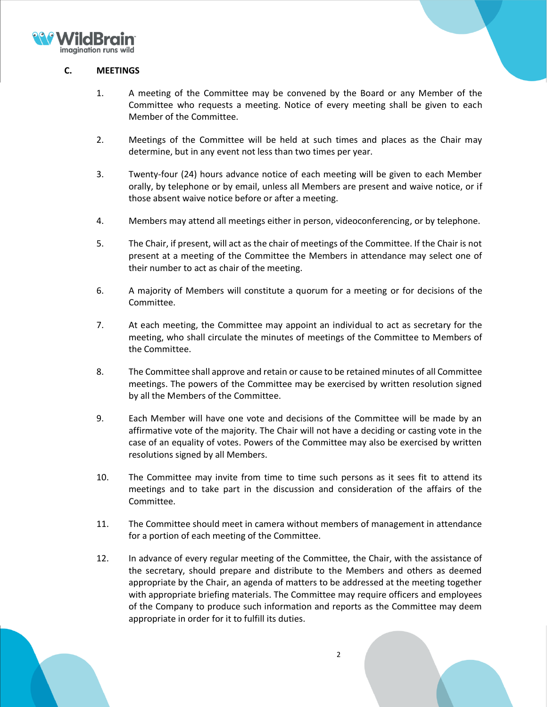

# **C. MEETINGS**

- 1. A meeting of the Committee may be convened by the Board or any Member of the Committee who requests a meeting. Notice of every meeting shall be given to each Member of the Committee.
- 2. Meetings of the Committee will be held at such times and places as the Chair may determine, but in any event not less than two times per year.
- 3. Twenty-four (24) hours advance notice of each meeting will be given to each Member orally, by telephone or by email, unless all Members are present and waive notice, or if those absent waive notice before or after a meeting.
- 4. Members may attend all meetings either in person, videoconferencing, or by telephone.
- 5. The Chair, if present, will act as the chair of meetings of the Committee. If the Chair is not present at a meeting of the Committee the Members in attendance may select one of their number to act as chair of the meeting.
- 6. A majority of Members will constitute a quorum for a meeting or for decisions of the Committee.
- 7. At each meeting, the Committee may appoint an individual to act as secretary for the meeting, who shall circulate the minutes of meetings of the Committee to Members of the Committee.
- 8. The Committee shall approve and retain or cause to be retained minutes of all Committee meetings. The powers of the Committee may be exercised by written resolution signed by all the Members of the Committee.
- 9. Each Member will have one vote and decisions of the Committee will be made by an affirmative vote of the majority. The Chair will not have a deciding or casting vote in the case of an equality of votes. Powers of the Committee may also be exercised by written resolutions signed by all Members.
- 10. The Committee may invite from time to time such persons as it sees fit to attend its meetings and to take part in the discussion and consideration of the affairs of the Committee.
- 11. The Committee should meet in camera without members of management in attendance for a portion of each meeting of the Committee.
- 12. In advance of every regular meeting of the Committee, the Chair, with the assistance of the secretary, should prepare and distribute to the Members and others as deemed appropriate by the Chair, an agenda of matters to be addressed at the meeting together with appropriate briefing materials. The Committee may require officers and employees of the Company to produce such information and reports as the Committee may deem appropriate in order for it to fulfill its duties.

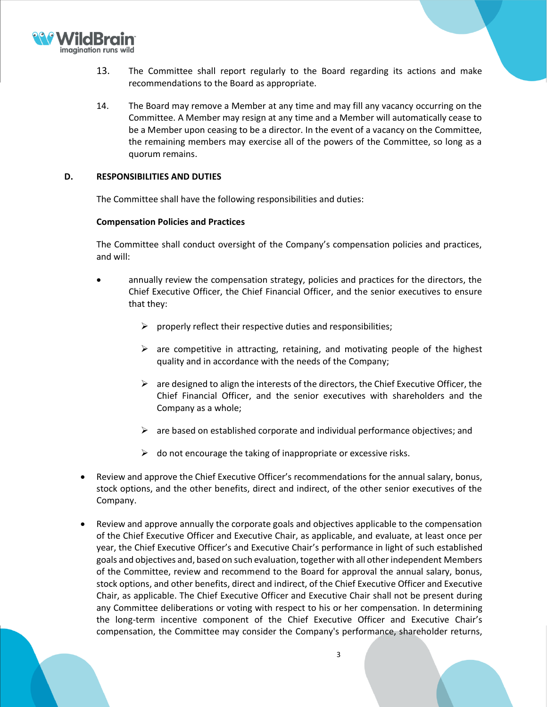

- 13. The Committee shall report regularly to the Board regarding its actions and make recommendations to the Board as appropriate.
- 14. The Board may remove a Member at any time and may fill any vacancy occurring on the Committee. A Member may resign at any time and a Member will automatically cease to be a Member upon ceasing to be a director. In the event of a vacancy on the Committee, the remaining members may exercise all of the powers of the Committee, so long as a quorum remains.

#### **D. RESPONSIBILITIES AND DUTIES**

The Committee shall have the following responsibilities and duties:

#### **Compensation Policies and Practices**

The Committee shall conduct oversight of the Company's compensation policies and practices, and will:

- annually review the compensation strategy, policies and practices for the directors, the Chief Executive Officer, the Chief Financial Officer, and the senior executives to ensure that they:
	- $\triangleright$  properly reflect their respective duties and responsibilities;
	- $\triangleright$  are competitive in attracting, retaining, and motivating people of the highest quality and in accordance with the needs of the Company;
	- $\triangleright$  are designed to align the interests of the directors, the Chief Executive Officer, the Chief Financial Officer, and the senior executives with shareholders and the Company as a whole;
	- $\triangleright$  are based on established corporate and individual performance objectives; and
	- $\triangleright$  do not encourage the taking of inappropriate or excessive risks.
- Review and approve the Chief Executive Officer's recommendations for the annual salary, bonus, stock options, and the other benefits, direct and indirect, of the other senior executives of the Company.
- Review and approve annually the corporate goals and objectives applicable to the compensation of the Chief Executive Officer and Executive Chair, as applicable, and evaluate, at least once per year, the Chief Executive Officer's and Executive Chair's performance in light of such established goals and objectives and, based on such evaluation, together with all other independent Members of the Committee, review and recommend to the Board for approval the annual salary, bonus, stock options, and other benefits, direct and indirect, of the Chief Executive Officer and Executive Chair, as applicable. The Chief Executive Officer and Executive Chair shall not be present during any Committee deliberations or voting with respect to his or her compensation. In determining the long-term incentive component of the Chief Executive Officer and Executive Chair's compensation, the Committee may consider the Company's performance, shareholder returns,

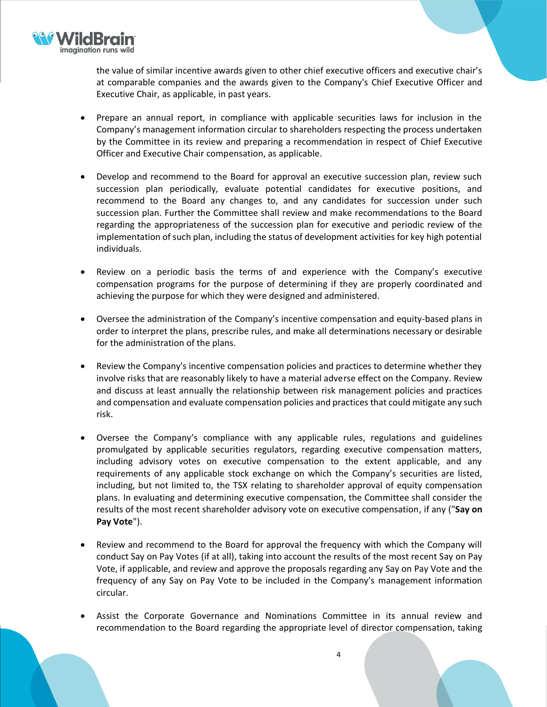

the value of similar incentive awards given to other chief executive officers and executive chair's at comparable companies and the awards given to the Company's Chief Executive Officer and Executive Chair, as applicable, in past years.

- Prepare an annual report, in compliance with applicable securities laws for inclusion in the Company's management information circular to shareholders respecting the process undertaken by the Committee in its review and preparing a recommendation in respect of Chief Executive Officer and Executive Chair compensation, as applicable.
- Develop and recommend to the Board for approval an executive succession plan, review such succession plan periodically, evaluate potential candidates for executive positions, and recommend to the Board any changes to, and any candidates for succession under such succession plan. Further the Committee shall review and make recommendations to the Board regarding the appropriateness of the succession plan for executive and periodic review of the implementation of such plan, including the status of development activities for key high potential individuals.
- Review on a periodic basis the terms of and experience with the Company's executive compensation programs for the purpose of determining if they are properly coordinated and achieving the purpose for which they were designed and administered.
- Oversee the administration of the Company's incentive compensation and equity-based plans in order to interpret the plans, prescribe rules, and make all determinations necessary or desirable for the administration of the plans.
- Review the Company's incentive compensation policies and practices to determine whether they involve risks that are reasonably likely to have a material adverse effect on the Company. Review and discuss at least annually the relationship between risk management policies and practices and compensation and evaluate compensation policies and practices that could mitigate any such risk.
- Oversee the Company's compliance with any applicable rules, regulations and guidelines promulgated by applicable securities regulators, regarding executive compensation matters, including advisory votes on executive compensation to the extent applicable, and any requirements of any applicable stock exchange on which the Company's securities are listed, including, but not limited to, the TSX relating to shareholder approval of equity compensation plans. In evaluating and determining executive compensation, the Committee shall consider the results of the most recent shareholder advisory vote on executive compensation, if any ("**Say on Pay Vote**").
- Review and recommend to the Board for approval the frequency with which the Company will conduct Say on Pay Votes (if at all), taking into account the results of the most recent Say on Pay Vote, if applicable, and review and approve the proposals regarding any Say on Pay Vote and the frequency of any Say on Pay Vote to be included in the Company's management information circular.
- Assist the Corporate Governance and Nominations Committee in its annual review and recommendation to the Board regarding the appropriate level of director compensation, taking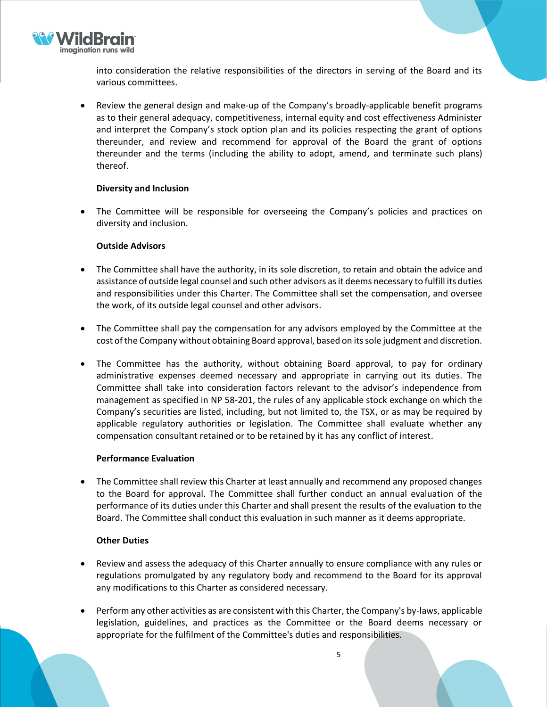

into consideration the relative responsibilities of the directors in serving of the Board and its various committees.

• Review the general design and make-up of the Company's broadly-applicable benefit programs as to their general adequacy, competitiveness, internal equity and cost effectiveness Administer and interpret the Company's stock option plan and its policies respecting the grant of options thereunder, and review and recommend for approval of the Board the grant of options thereunder and the terms (including the ability to adopt, amend, and terminate such plans) thereof.

## **Diversity and Inclusion**

• The Committee will be responsible for overseeing the Company's policies and practices on diversity and inclusion.

# **Outside Advisors**

- The Committee shall have the authority, in its sole discretion, to retain and obtain the advice and assistance of outside legal counsel and such other advisors asit deems necessary to fulfill its duties and responsibilities under this Charter. The Committee shall set the compensation, and oversee the work, of its outside legal counsel and other advisors.
- The Committee shall pay the compensation for any advisors employed by the Committee at the cost of the Company without obtaining Board approval, based on its sole judgment and discretion.
- The Committee has the authority, without obtaining Board approval, to pay for ordinary administrative expenses deemed necessary and appropriate in carrying out its duties. The Committee shall take into consideration factors relevant to the advisor's independence from management as specified in NP 58-201, the rules of any applicable stock exchange on which the Company's securities are listed, including, but not limited to, the TSX, or as may be required by applicable regulatory authorities or legislation. The Committee shall evaluate whether any compensation consultant retained or to be retained by it has any conflict of interest.

## **Performance Evaluation**

• The Committee shall review this Charter at least annually and recommend any proposed changes to the Board for approval. The Committee shall further conduct an annual evaluation of the performance of its duties under this Charter and shall present the results of the evaluation to the Board. The Committee shall conduct this evaluation in such manner as it deems appropriate.

# **Other Duties**

- Review and assess the adequacy of this Charter annually to ensure compliance with any rules or regulations promulgated by any regulatory body and recommend to the Board for its approval any modifications to this Charter as considered necessary.
- Perform any other activities as are consistent with this Charter, the Company's by-laws, applicable legislation, guidelines, and practices as the Committee or the Board deems necessary or appropriate for the fulfilment of the Committee's duties and responsibilities.